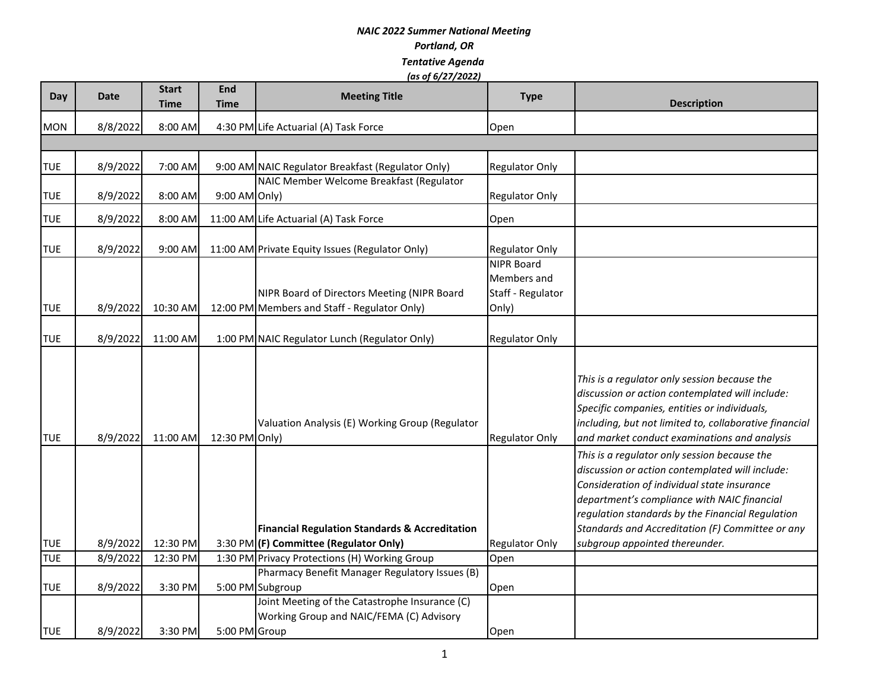| Day        | Date     | <b>Start</b><br><b>Time</b> | <b>End</b><br>Time | <b>Meeting Title</b>                                                                                | <b>Type</b>                                                    | <b>Description</b>                                                                                                                                                                                                                                                                                                                      |
|------------|----------|-----------------------------|--------------------|-----------------------------------------------------------------------------------------------------|----------------------------------------------------------------|-----------------------------------------------------------------------------------------------------------------------------------------------------------------------------------------------------------------------------------------------------------------------------------------------------------------------------------------|
| <b>MON</b> | 8/8/2022 | 8:00 AM                     |                    | 4:30 PM Life Actuarial (A) Task Force                                                               | Open                                                           |                                                                                                                                                                                                                                                                                                                                         |
|            |          |                             |                    |                                                                                                     |                                                                |                                                                                                                                                                                                                                                                                                                                         |
| <b>TUE</b> | 8/9/2022 | 7:00 AM                     |                    | 9:00 AM NAIC Regulator Breakfast (Regulator Only)                                                   | <b>Regulator Only</b>                                          |                                                                                                                                                                                                                                                                                                                                         |
| <b>TUE</b> | 8/9/2022 | 8:00 AM                     | 9:00 AM Only)      | NAIC Member Welcome Breakfast (Regulator                                                            | <b>Regulator Only</b>                                          |                                                                                                                                                                                                                                                                                                                                         |
| <b>TUE</b> | 8/9/2022 | 8:00 AM                     |                    | 11:00 AM Life Actuarial (A) Task Force                                                              | Open                                                           |                                                                                                                                                                                                                                                                                                                                         |
| <b>TUE</b> | 8/9/2022 | 9:00 AM                     |                    | 11:00 AM Private Equity Issues (Regulator Only)                                                     | <b>Regulator Only</b>                                          |                                                                                                                                                                                                                                                                                                                                         |
| <b>TUE</b> | 8/9/2022 | 10:30 AM                    |                    | NIPR Board of Directors Meeting (NIPR Board<br>12:00 PM Members and Staff - Regulator Only)         | <b>NIPR Board</b><br>Members and<br>Staff - Regulator<br>Only) |                                                                                                                                                                                                                                                                                                                                         |
| <b>TUE</b> | 8/9/2022 | 11:00 AM                    |                    | 1:00 PM NAIC Regulator Lunch (Regulator Only)                                                       | <b>Regulator Only</b>                                          |                                                                                                                                                                                                                                                                                                                                         |
| <b>TUE</b> | 8/9/2022 | 11:00 AM                    | 12:30 PM Only)     | Valuation Analysis (E) Working Group (Regulator                                                     | <b>Regulator Only</b>                                          | This is a regulator only session because the<br>discussion or action contemplated will include:<br>Specific companies, entities or individuals,<br>including, but not limited to, collaborative financial<br>and market conduct examinations and analysis                                                                               |
| <b>TUE</b> | 8/9/2022 | 12:30 PM                    |                    | <b>Financial Regulation Standards &amp; Accreditation</b><br>3:30 PM (F) Committee (Regulator Only) | Regulator Only                                                 | This is a regulator only session because the<br>discussion or action contemplated will include:<br>Consideration of individual state insurance<br>department's compliance with NAIC financial<br>regulation standards by the Financial Regulation<br>Standards and Accreditation (F) Committee or any<br>subgroup appointed thereunder. |
| <b>TUE</b> | 8/9/2022 | 12:30 PM                    |                    | 1:30 PM Privacy Protections (H) Working Group                                                       | Open                                                           |                                                                                                                                                                                                                                                                                                                                         |
|            |          |                             |                    | Pharmacy Benefit Manager Regulatory Issues (B)                                                      |                                                                |                                                                                                                                                                                                                                                                                                                                         |
| <b>TUE</b> | 8/9/2022 | 3:30 PM                     |                    | 5:00 PM Subgroup                                                                                    | Open                                                           |                                                                                                                                                                                                                                                                                                                                         |
| <b>TUE</b> | 8/9/2022 | 3:30 PM                     | 5:00 PM Group      | Joint Meeting of the Catastrophe Insurance (C)<br>Working Group and NAIC/FEMA (C) Advisory          | Open                                                           |                                                                                                                                                                                                                                                                                                                                         |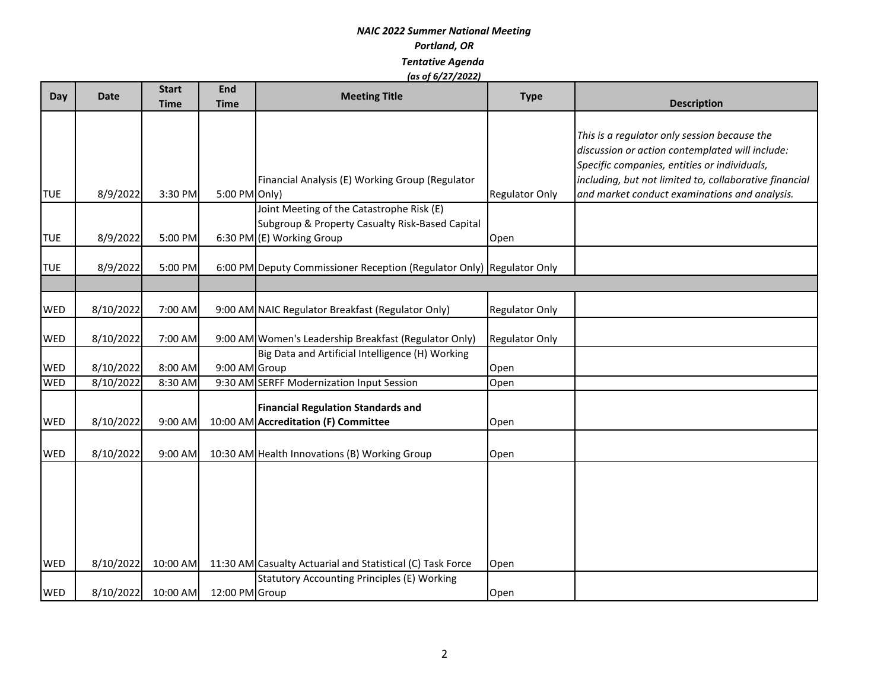| Day<br><b>Date</b>       |                        | <b>Start</b>       | End            | <b>Meeting Title</b>                                                  | <b>Type</b>           |                                                        |
|--------------------------|------------------------|--------------------|----------------|-----------------------------------------------------------------------|-----------------------|--------------------------------------------------------|
|                          |                        | <b>Time</b>        | <b>Time</b>    |                                                                       |                       | <b>Description</b>                                     |
|                          |                        |                    |                |                                                                       |                       |                                                        |
|                          |                        |                    |                |                                                                       |                       | This is a regulator only session because the           |
|                          |                        |                    |                |                                                                       |                       | discussion or action contemplated will include:        |
|                          |                        |                    |                |                                                                       |                       | Specific companies, entities or individuals,           |
|                          |                        |                    |                | Financial Analysis (E) Working Group (Regulator                       |                       | including, but not limited to, collaborative financial |
| <b>TUE</b>               | 8/9/2022               | 3:30 PM            | 5:00 PM Only)  | Joint Meeting of the Catastrophe Risk (E)                             | <b>Regulator Only</b> | and market conduct examinations and analysis.          |
|                          |                        |                    |                | Subgroup & Property Casualty Risk-Based Capital                       |                       |                                                        |
| <b>TUE</b>               | 8/9/2022               | 5:00 PM            |                | 6:30 PM (E) Working Group                                             | Open                  |                                                        |
|                          |                        |                    |                |                                                                       |                       |                                                        |
| <b>TUE</b>               | 8/9/2022               | 5:00 PM            |                | 6:00 PM Deputy Commissioner Reception (Regulator Only) Regulator Only |                       |                                                        |
|                          |                        |                    |                |                                                                       |                       |                                                        |
|                          |                        |                    |                |                                                                       |                       |                                                        |
| <b>WED</b>               | 8/10/2022              | 7:00 AM            |                | 9:00 AM NAIC Regulator Breakfast (Regulator Only)                     | <b>Regulator Only</b> |                                                        |
|                          |                        |                    |                |                                                                       |                       |                                                        |
| <b>WED</b>               | 8/10/2022              | 7:00 AM            |                | 9:00 AM Women's Leadership Breakfast (Regulator Only)                 | <b>Regulator Only</b> |                                                        |
|                          |                        |                    |                | Big Data and Artificial Intelligence (H) Working                      |                       |                                                        |
| <b>WED</b><br><b>WED</b> | 8/10/2022<br>8/10/2022 | 8:00 AM<br>8:30 AM | 9:00 AM Group  | 9:30 AM SERFF Modernization Input Session                             | Open<br>Open          |                                                        |
|                          |                        |                    |                |                                                                       |                       |                                                        |
|                          |                        |                    |                | <b>Financial Regulation Standards and</b>                             |                       |                                                        |
| <b>WED</b>               | 8/10/2022              | 9:00 AM            |                | 10:00 AM Accreditation (F) Committee                                  | Open                  |                                                        |
|                          |                        |                    |                |                                                                       |                       |                                                        |
| <b>WED</b>               | 8/10/2022              | 9:00 AM            |                | 10:30 AM Health Innovations (B) Working Group                         | Open                  |                                                        |
|                          |                        |                    |                |                                                                       |                       |                                                        |
|                          |                        |                    |                |                                                                       |                       |                                                        |
|                          |                        |                    |                |                                                                       |                       |                                                        |
|                          |                        |                    |                |                                                                       |                       |                                                        |
|                          |                        |                    |                |                                                                       |                       |                                                        |
|                          |                        |                    |                |                                                                       |                       |                                                        |
| <b>WED</b>               | 8/10/2022              | 10:00 AM           |                | 11:30 AM Casualty Actuarial and Statistical (C) Task Force            | Open                  |                                                        |
|                          |                        |                    |                | <b>Statutory Accounting Principles (E) Working</b>                    |                       |                                                        |
| <b>WED</b>               | 8/10/2022              | 10:00 AM           | 12:00 PM Group |                                                                       | Open                  |                                                        |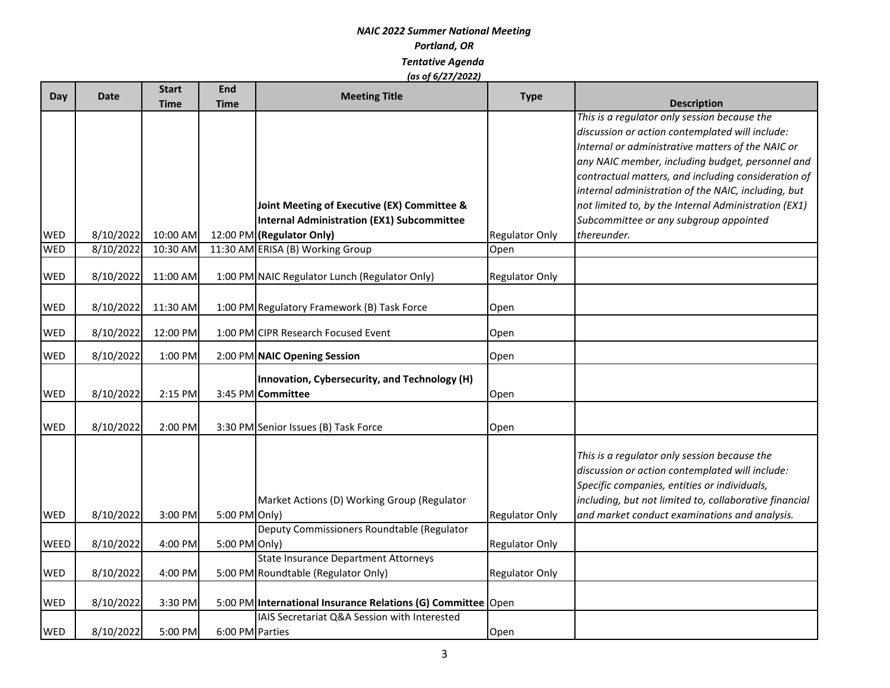| Day         | <b>Date</b> | <b>Start</b> | End             | <b>Meeting Title</b>                                         | <b>Type</b>           |                                                                    |
|-------------|-------------|--------------|-----------------|--------------------------------------------------------------|-----------------------|--------------------------------------------------------------------|
|             |             | <b>Time</b>  | <b>Time</b>     |                                                              |                       | <b>Description</b><br>This is a regulator only session because the |
|             |             |              |                 |                                                              |                       | discussion or action contemplated will include:                    |
|             |             |              |                 |                                                              |                       | Internal or administrative matters of the NAIC or                  |
|             |             |              |                 |                                                              |                       | any NAIC member, including budget, personnel and                   |
|             |             |              |                 |                                                              |                       | contractual matters, and including consideration of                |
|             |             |              |                 |                                                              |                       | internal administration of the NAIC, including, but                |
|             |             |              |                 | Joint Meeting of Executive (EX) Committee &                  |                       | not limited to, by the Internal Administration (EX1)               |
|             |             |              |                 | <b>Internal Administration (EX1) Subcommittee</b>            |                       | Subcommittee or any subgroup appointed                             |
| WED         | 8/10/2022   | 10:00 AM     |                 | 12:00 PM (Regulator Only)                                    | <b>Regulator Only</b> | thereunder.                                                        |
| <b>WED</b>  | 8/10/2022   | 10:30 AM     |                 | 11:30 AM ERISA (B) Working Group                             | Open                  |                                                                    |
|             |             |              |                 |                                                              |                       |                                                                    |
| <b>WED</b>  | 8/10/2022   | 11:00 AM     |                 | 1:00 PM NAIC Regulator Lunch (Regulator Only)                | <b>Regulator Only</b> |                                                                    |
| WED         | 8/10/2022   | 11:30 AM     |                 | 1:00 PM Regulatory Framework (B) Task Force                  | Open                  |                                                                    |
|             |             |              |                 |                                                              |                       |                                                                    |
| WED         | 8/10/2022   | 12:00 PM     |                 | 1:00 PM CIPR Research Focused Event                          | Open                  |                                                                    |
| <b>WED</b>  | 8/10/2022   | 1:00 PM      |                 | 2:00 PM NAIC Opening Session                                 | Open                  |                                                                    |
|             |             |              |                 | Innovation, Cybersecurity, and Technology (H)                |                       |                                                                    |
| <b>WED</b>  | 8/10/2022   | 2:15 PM      |                 | 3:45 PM Committee                                            | Open                  |                                                                    |
|             |             |              |                 |                                                              |                       |                                                                    |
| <b>WED</b>  | 8/10/2022   | 2:00 PM      |                 | 3:30 PM Senior Issues (B) Task Force                         | Open                  |                                                                    |
|             |             |              |                 |                                                              |                       |                                                                    |
|             |             |              |                 |                                                              |                       | This is a regulator only session because the                       |
|             |             |              |                 |                                                              |                       | discussion or action contemplated will include:                    |
|             |             |              |                 |                                                              |                       | Specific companies, entities or individuals,                       |
|             |             |              |                 | Market Actions (D) Working Group (Regulator                  |                       | including, but not limited to, collaborative financial             |
| WED         | 8/10/2022   | 3:00 PM      | 5:00 PM Only)   |                                                              | <b>Regulator Only</b> | and market conduct examinations and analysis.                      |
|             |             |              |                 | Deputy Commissioners Roundtable (Regulator                   |                       |                                                                    |
| <b>WEED</b> | 8/10/2022   | 4:00 PM      | 5:00 PM Only)   |                                                              | <b>Regulator Only</b> |                                                                    |
|             |             |              |                 | State Insurance Department Attorneys                         |                       |                                                                    |
| WED         | 8/10/2022   | 4:00 PM      |                 | 5:00 PM Roundtable (Regulator Only)                          | <b>Regulator Only</b> |                                                                    |
| WED         | 8/10/2022   | 3:30 PM      |                 | 5:00 PM International Insurance Relations (G) Committee Open |                       |                                                                    |
|             |             |              |                 | IAIS Secretariat Q&A Session with Interested                 |                       |                                                                    |
| WED         | 8/10/2022   | 5:00 PM      | 6:00 PM Parties |                                                              | Open                  |                                                                    |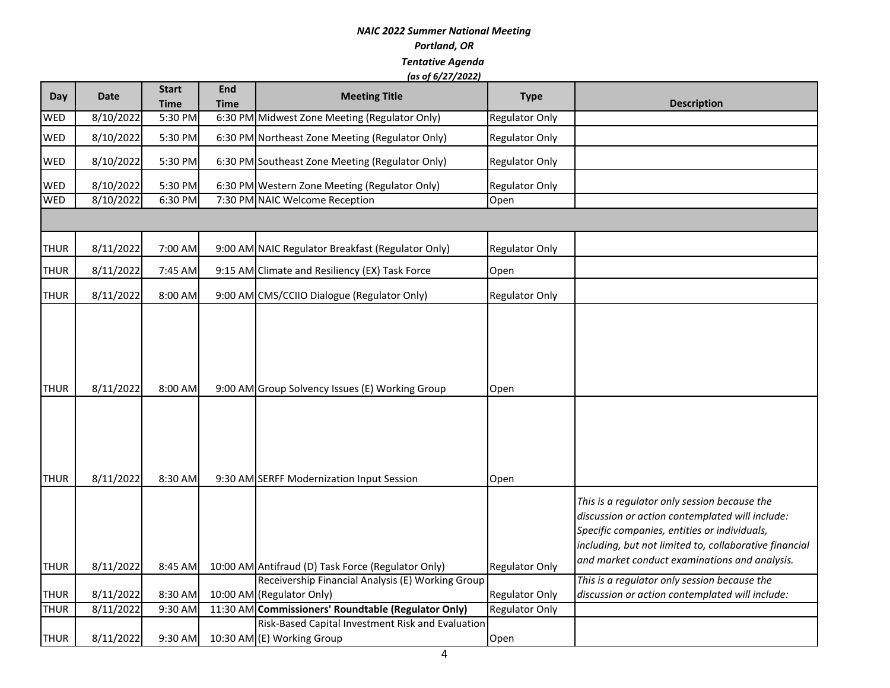| <b>Day</b>  | <b>Date</b> | <b>Start</b><br><b>Time</b> | <b>End</b><br><b>Time</b> | <b>Meeting Title</b>                                                           | <b>Type</b>           | <b>Description</b>                                                                                                                                                                                                                                         |
|-------------|-------------|-----------------------------|---------------------------|--------------------------------------------------------------------------------|-----------------------|------------------------------------------------------------------------------------------------------------------------------------------------------------------------------------------------------------------------------------------------------------|
| WED         | 8/10/2022   | 5:30 PM                     |                           | 6:30 PM Midwest Zone Meeting (Regulator Only)                                  | <b>Regulator Only</b> |                                                                                                                                                                                                                                                            |
| <b>WED</b>  | 8/10/2022   | 5:30 PM                     |                           | 6:30 PM Northeast Zone Meeting (Regulator Only)                                | <b>Regulator Only</b> |                                                                                                                                                                                                                                                            |
| <b>WED</b>  | 8/10/2022   | 5:30 PM                     |                           | 6:30 PM Southeast Zone Meeting (Regulator Only)                                | <b>Regulator Only</b> |                                                                                                                                                                                                                                                            |
| <b>WED</b>  | 8/10/2022   | 5:30 PM                     |                           | 6:30 PM Western Zone Meeting (Regulator Only)                                  | <b>Regulator Only</b> |                                                                                                                                                                                                                                                            |
| <b>WED</b>  | 8/10/2022   | 6:30 PM                     |                           | 7:30 PM NAIC Welcome Reception                                                 | Open                  |                                                                                                                                                                                                                                                            |
|             |             |                             |                           |                                                                                |                       |                                                                                                                                                                                                                                                            |
| <b>THUR</b> | 8/11/2022   | 7:00 AM                     |                           | 9:00 AM NAIC Regulator Breakfast (Regulator Only)                              | <b>Regulator Only</b> |                                                                                                                                                                                                                                                            |
| <b>THUR</b> | 8/11/2022   | 7:45 AM                     |                           | 9:15 AM Climate and Resiliency (EX) Task Force                                 | Open                  |                                                                                                                                                                                                                                                            |
| <b>THUR</b> | 8/11/2022   | 8:00 AM                     |                           | 9:00 AM CMS/CCIIO Dialogue (Regulator Only)                                    | <b>Regulator Only</b> |                                                                                                                                                                                                                                                            |
| <b>THUR</b> | 8/11/2022   | 8:00 AM                     |                           | 9:00 AM Group Solvency Issues (E) Working Group                                | Open                  |                                                                                                                                                                                                                                                            |
| <b>THUR</b> | 8/11/2022   | 8:30 AM                     |                           | 9:30 AM SERFF Modernization Input Session                                      | Open                  |                                                                                                                                                                                                                                                            |
|             |             |                             |                           |                                                                                |                       | This is a regulator only session because the<br>discussion or action contemplated will include:<br>Specific companies, entities or individuals,<br>including, but not limited to, collaborative financial<br>and market conduct examinations and analysis. |
| <b>THUR</b> | 8/11/2022   | 8:45 AM                     |                           | 10:00 AM Antifraud (D) Task Force (Regulator Only)                             | <b>Regulator Only</b> |                                                                                                                                                                                                                                                            |
| <b>THUR</b> | 8/11/2022   | 8:30 AM                     |                           | Receivership Financial Analysis (E) Working Group<br>10:00 AM (Regulator Only) | <b>Regulator Only</b> | This is a regulator only session because the<br>discussion or action contemplated will include:                                                                                                                                                            |
| <b>THUR</b> | 8/11/2022   | 9:30 AM                     |                           | 11:30 AM Commissioners' Roundtable (Regulator Only)                            | <b>Regulator Only</b> |                                                                                                                                                                                                                                                            |
|             |             |                             |                           | Risk-Based Capital Investment Risk and Evaluation                              |                       |                                                                                                                                                                                                                                                            |
| <b>THUR</b> | 8/11/2022   | 9:30 AM                     |                           | 10:30 AM (E) Working Group                                                     | Open                  |                                                                                                                                                                                                                                                            |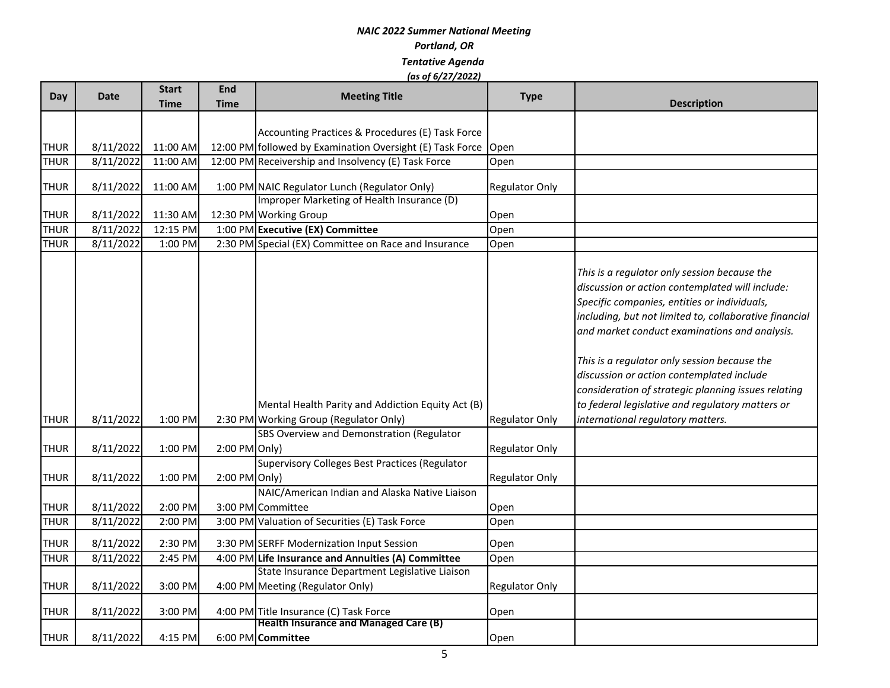| Day         | Date               | <b>Start</b><br><b>Time</b> | <b>End</b><br><b>Time</b> | <b>Meeting Title</b>                                                                                                                     | <b>Type</b>           | <b>Description</b>                                                                                                                                                                                                                                                                                                                                                                                                                                                                                      |
|-------------|--------------------|-----------------------------|---------------------------|------------------------------------------------------------------------------------------------------------------------------------------|-----------------------|---------------------------------------------------------------------------------------------------------------------------------------------------------------------------------------------------------------------------------------------------------------------------------------------------------------------------------------------------------------------------------------------------------------------------------------------------------------------------------------------------------|
|             |                    |                             |                           |                                                                                                                                          |                       |                                                                                                                                                                                                                                                                                                                                                                                                                                                                                                         |
|             |                    |                             |                           | Accounting Practices & Procedures (E) Task Force                                                                                         |                       |                                                                                                                                                                                                                                                                                                                                                                                                                                                                                                         |
| <b>THUR</b> | 8/11/2022          | 11:00 AM                    |                           | 12:00 PM followed by Examination Oversight (E) Task Force Open                                                                           |                       |                                                                                                                                                                                                                                                                                                                                                                                                                                                                                                         |
| <b>THUR</b> | 8/11/2022          | 11:00 AM                    |                           | 12:00 PM Receivership and Insolvency (E) Task Force                                                                                      | Open                  |                                                                                                                                                                                                                                                                                                                                                                                                                                                                                                         |
| <b>THUR</b> | 8/11/2022          | 11:00 AM                    |                           | 1:00 PM NAIC Regulator Lunch (Regulator Only)                                                                                            | <b>Regulator Only</b> |                                                                                                                                                                                                                                                                                                                                                                                                                                                                                                         |
|             |                    |                             |                           | Improper Marketing of Health Insurance (D)                                                                                               |                       |                                                                                                                                                                                                                                                                                                                                                                                                                                                                                                         |
| <b>THUR</b> | 8/11/2022          | 11:30 AM                    |                           | 12:30 PM Working Group                                                                                                                   | Open                  |                                                                                                                                                                                                                                                                                                                                                                                                                                                                                                         |
| <b>THUR</b> | $\sqrt{8/11/2022}$ | 12:15 PM                    |                           | 1:00 PM Executive (EX) Committee                                                                                                         | Open                  |                                                                                                                                                                                                                                                                                                                                                                                                                                                                                                         |
| <b>THUR</b> | 8/11/2022          | 1:00 PM                     |                           | 2:30 PM Special (EX) Committee on Race and Insurance                                                                                     | Open                  |                                                                                                                                                                                                                                                                                                                                                                                                                                                                                                         |
| THUR        | 8/11/2022          | 1:00 PM                     |                           | Mental Health Parity and Addiction Equity Act (B)<br>2:30 PM Working Group (Regulator Only)<br>SBS Overview and Demonstration (Regulator | <b>Regulator Only</b> | This is a regulator only session because the<br>discussion or action contemplated will include:<br>Specific companies, entities or individuals,<br>including, but not limited to, collaborative financial<br>and market conduct examinations and analysis.<br>This is a regulator only session because the<br>discussion or action contemplated include<br>consideration of strategic planning issues relating<br>to federal legislative and regulatory matters or<br>international regulatory matters. |
| <b>THUR</b> | 8/11/2022          | 1:00 PM                     | $2:00$ PM Only)           |                                                                                                                                          | <b>Regulator Only</b> |                                                                                                                                                                                                                                                                                                                                                                                                                                                                                                         |
| <b>THUR</b> | 8/11/2022          | 1:00 PM                     | $2:00$ PM Only)           | <b>Supervisory Colleges Best Practices (Regulator</b>                                                                                    | <b>Regulator Only</b> |                                                                                                                                                                                                                                                                                                                                                                                                                                                                                                         |
| <b>THUR</b> | 8/11/2022          | 2:00 PM                     |                           | NAIC/American Indian and Alaska Native Liaison<br>3:00 PM Committee                                                                      | Open                  |                                                                                                                                                                                                                                                                                                                                                                                                                                                                                                         |
| <b>THUR</b> | 8/11/2022          | 2:00 PM                     |                           | 3:00 PM Valuation of Securities (E) Task Force                                                                                           | Open                  |                                                                                                                                                                                                                                                                                                                                                                                                                                                                                                         |
| <b>THUR</b> | 8/11/2022          | 2:30 PM                     |                           | 3:30 PM SERFF Modernization Input Session                                                                                                | Open                  |                                                                                                                                                                                                                                                                                                                                                                                                                                                                                                         |
| <b>THUR</b> | 8/11/2022          | 2:45 PM                     |                           | 4:00 PM Life Insurance and Annuities (A) Committee                                                                                       | Open                  |                                                                                                                                                                                                                                                                                                                                                                                                                                                                                                         |
| <b>THUR</b> | 8/11/2022          | 3:00 PM                     |                           | State Insurance Department Legislative Liaison<br>4:00 PM Meeting (Regulator Only)                                                       | <b>Regulator Only</b> |                                                                                                                                                                                                                                                                                                                                                                                                                                                                                                         |
| <b>THUR</b> | 8/11/2022          | 3:00 PM                     |                           | 4:00 PM Title Insurance (C) Task Force                                                                                                   | Open                  |                                                                                                                                                                                                                                                                                                                                                                                                                                                                                                         |
| <b>THUR</b> | 8/11/2022          | 4:15 PM                     |                           | <b>Health Insurance and Managed Care (B)</b><br>6:00 PM Committee                                                                        | Open                  |                                                                                                                                                                                                                                                                                                                                                                                                                                                                                                         |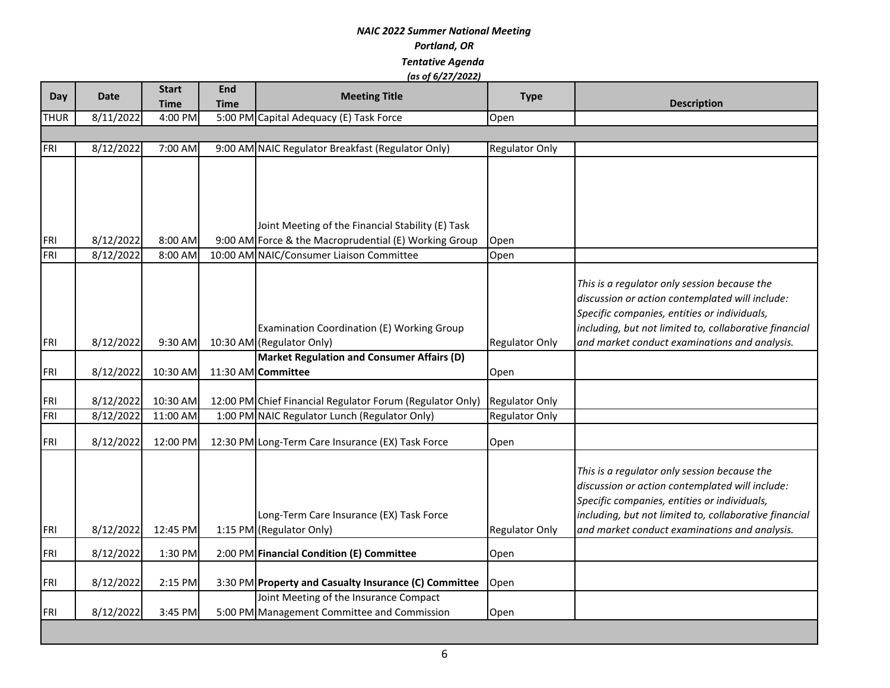| Day               | <b>Date</b>            | <b>Start</b><br><b>Time</b> | <b>End</b><br><b>Time</b> | <b>Meeting Title</b>                                                                                       | <b>Type</b>                                    | <b>Description</b>                                                                                                                                                                                                                                         |
|-------------------|------------------------|-----------------------------|---------------------------|------------------------------------------------------------------------------------------------------------|------------------------------------------------|------------------------------------------------------------------------------------------------------------------------------------------------------------------------------------------------------------------------------------------------------------|
| <b>THUR</b>       | 8/11/2022              | 4:00 PM                     |                           | 5:00 PM Capital Adequacy (E) Task Force                                                                    | Open                                           |                                                                                                                                                                                                                                                            |
|                   |                        |                             |                           |                                                                                                            |                                                |                                                                                                                                                                                                                                                            |
| <b>FRI</b>        | 8/12/2022              | 7:00 AM                     |                           | 9:00 AM NAIC Regulator Breakfast (Regulator Only)                                                          | <b>Regulator Only</b>                          |                                                                                                                                                                                                                                                            |
| FRI               | 8/12/2022              | 8:00 AM                     |                           | Joint Meeting of the Financial Stability (E) Task<br>9:00 AM Force & the Macroprudential (E) Working Group | Open                                           |                                                                                                                                                                                                                                                            |
| FRI               | 8/12/2022              | 8:00 AM                     |                           | 10:00 AM NAIC/Consumer Liaison Committee                                                                   | Open                                           |                                                                                                                                                                                                                                                            |
| <b>FRI</b>        | 8/12/2022              | 9:30 AM                     |                           | Examination Coordination (E) Working Group<br>10:30 AM (Regulator Only)                                    | <b>Regulator Only</b>                          | This is a regulator only session because the<br>discussion or action contemplated will include:<br>Specific companies, entities or individuals,<br>including, but not limited to, collaborative financial<br>and market conduct examinations and analysis. |
|                   |                        |                             |                           | <b>Market Regulation and Consumer Affairs (D)</b>                                                          |                                                |                                                                                                                                                                                                                                                            |
| FRI               | 8/12/2022              | 10:30 AM                    |                           | 11:30 AM Committee                                                                                         | Open                                           |                                                                                                                                                                                                                                                            |
| FRI<br><b>FRI</b> | 8/12/2022<br>8/12/2022 | 10:30 AM<br>11:00 AM        |                           | 12:00 PM Chief Financial Regulator Forum (Regulator Only)<br>1:00 PM NAIC Regulator Lunch (Regulator Only) | <b>Regulator Only</b><br><b>Regulator Only</b> |                                                                                                                                                                                                                                                            |
| FRI               | 8/12/2022              | 12:00 PM                    |                           | 12:30 PM Long-Term Care Insurance (EX) Task Force                                                          | Open                                           |                                                                                                                                                                                                                                                            |
| FRI               | 8/12/2022              | 12:45 PM                    |                           | Long-Term Care Insurance (EX) Task Force<br>1:15 PM (Regulator Only)                                       | <b>Regulator Only</b>                          | This is a regulator only session because the<br>discussion or action contemplated will include:<br>Specific companies, entities or individuals,<br>including, but not limited to, collaborative financial<br>and market conduct examinations and analysis. |
|                   |                        |                             |                           |                                                                                                            |                                                |                                                                                                                                                                                                                                                            |
| <b>FRI</b>        | 8/12/2022              | 1:30 PM                     |                           | 2:00 PM Financial Condition (E) Committee                                                                  | Open                                           |                                                                                                                                                                                                                                                            |
| FRI               | 8/12/2022              | 2:15 PM                     |                           | 3:30 PM Property and Casualty Insurance (C) Committee                                                      | Open                                           |                                                                                                                                                                                                                                                            |
| <b>FRI</b>        | 8/12/2022              | 3:45 PM                     |                           | Joint Meeting of the Insurance Compact<br>5:00 PM Management Committee and Commission                      | Open                                           |                                                                                                                                                                                                                                                            |

ш